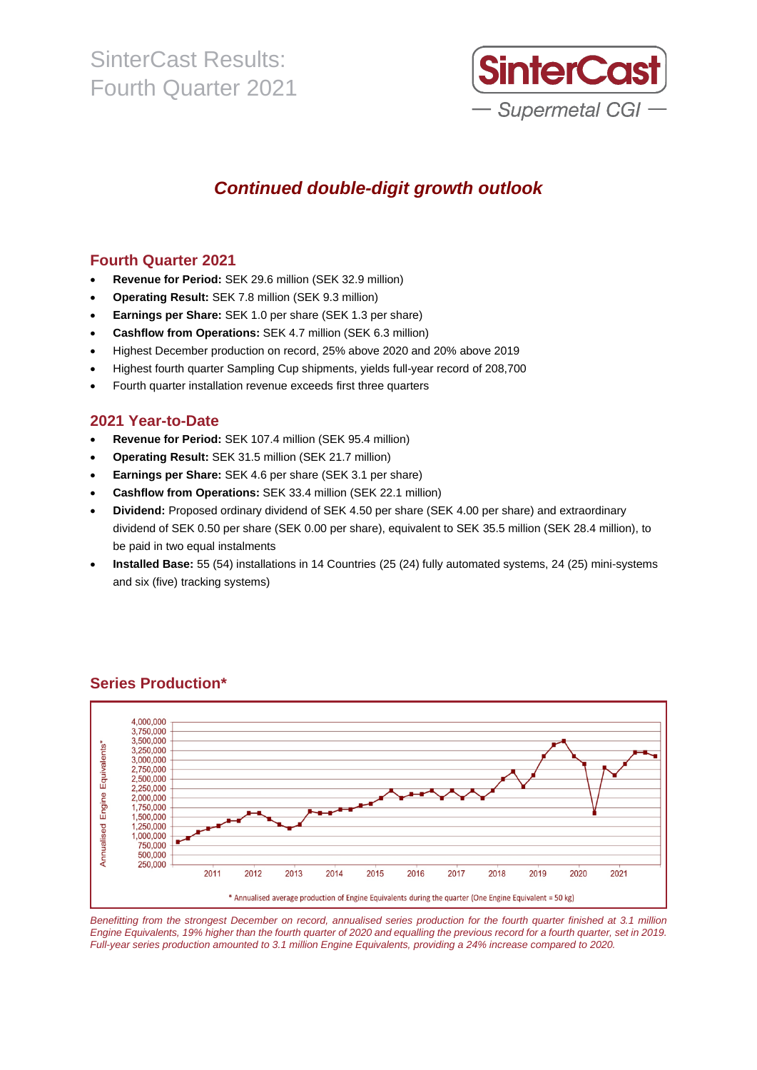

## *Continued double-digit growth outlook*

### **Fourth Quarter 2021**

- **Revenue for Period:** SEK 29.6 million (SEK 32.9 million)
- **Operating Result:** SEK 7.8 million (SEK 9.3 million)
- **Earnings per Share:** SEK 1.0 per share (SEK 1.3 per share)
- **Cashflow from Operations:** SEK 4.7 million (SEK 6.3 million)
- Highest December production on record, 25% above 2020 and 20% above 2019
- Highest fourth quarter Sampling Cup shipments, yields full-year record of 208,700
- Fourth quarter installation revenue exceeds first three quarters

### **2021 Year-to-Date**

- **Revenue for Period:** SEK 107.4 million (SEK 95.4 million)
- **Operating Result:** SEK 31.5 million (SEK 21.7 million)
- **Earnings per Share:** SEK 4.6 per share (SEK 3.1 per share)
- **Cashflow from Operations:** SEK 33.4 million (SEK 22.1 million)
- **Dividend:** Proposed ordinary dividend of SEK 4.50 per share (SEK 4.00 per share) and extraordinary dividend of SEK 0.50 per share (SEK 0.00 per share), equivalent to SEK 35.5 million (SEK 28.4 million), to be paid in two equal instalments
- **Installed Base:** 55 (54) installations in 14 Countries (25 (24) fully automated systems, 24 (25) mini-systems and six (five) tracking systems)



### **Series Production\***

Benefitting from the strongest December on record, annualised series production for the fourth quarter finished at 3.1 million Engine Equivalents, 19% higher than the fourth quarter of 2020 and equalling the previous record for a fourth quarter, set in 2019. Full-year series production amounted to 3.1 million Engine Equivalents, providing a 24% increase compared to 2020.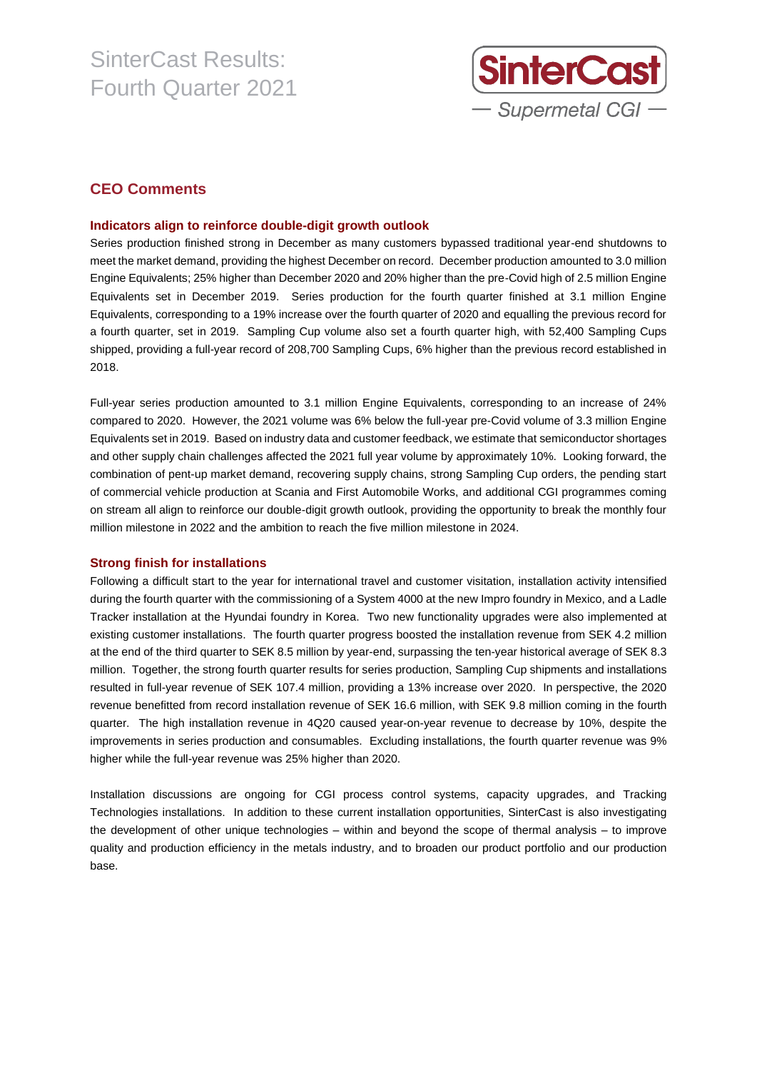

### **CEO Comments**

#### **Indicators align to reinforce double-digit growth outlook**

Series production finished strong in December as many customers bypassed traditional year-end shutdowns to meet the market demand, providing the highest December on record. December production amounted to 3.0 million Engine Equivalents; 25% higher than December 2020 and 20% higher than the pre-Covid high of 2.5 million Engine Equivalents set in December 2019. Series production for the fourth quarter finished at 3.1 million Engine Equivalents, corresponding to a 19% increase over the fourth quarter of 2020 and equalling the previous record for a fourth quarter, set in 2019. Sampling Cup volume also set a fourth quarter high, with 52,400 Sampling Cups shipped, providing a full-year record of 208,700 Sampling Cups, 6% higher than the previous record established in 2018.

Full-year series production amounted to 3.1 million Engine Equivalents, corresponding to an increase of 24% compared to 2020. However, the 2021 volume was 6% below the full-year pre-Covid volume of 3.3 million Engine Equivalents set in 2019. Based on industry data and customer feedback, we estimate that semiconductor shortages and other supply chain challenges affected the 2021 full year volume by approximately 10%. Looking forward, the combination of pent-up market demand, recovering supply chains, strong Sampling Cup orders, the pending start of commercial vehicle production at Scania and First Automobile Works, and additional CGI programmes coming on stream all align to reinforce our double-digit growth outlook, providing the opportunity to break the monthly four million milestone in 2022 and the ambition to reach the five million milestone in 2024.

#### **Strong finish for installations**

Following a difficult start to the year for international travel and customer visitation, installation activity intensified during the fourth quarter with the commissioning of a System 4000 at the new Impro foundry in Mexico, and a Ladle Tracker installation at the Hyundai foundry in Korea. Two new functionality upgrades were also implemented at existing customer installations. The fourth quarter progress boosted the installation revenue from SEK 4.2 million at the end of the third quarter to SEK 8.5 million by year-end, surpassing the ten-year historical average of SEK 8.3 million. Together, the strong fourth quarter results for series production, Sampling Cup shipments and installations resulted in full-year revenue of SEK 107.4 million, providing a 13% increase over 2020. In perspective, the 2020 revenue benefitted from record installation revenue of SEK 16.6 million, with SEK 9.8 million coming in the fourth quarter. The high installation revenue in 4Q20 caused year-on-year revenue to decrease by 10%, despite the improvements in series production and consumables. Excluding installations, the fourth quarter revenue was 9% higher while the full-year revenue was 25% higher than 2020.

Installation discussions are ongoing for CGI process control systems, capacity upgrades, and Tracking Technologies installations. In addition to these current installation opportunities, SinterCast is also investigating the development of other unique technologies – within and beyond the scope of thermal analysis – to improve quality and production efficiency in the metals industry, and to broaden our product portfolio and our production base.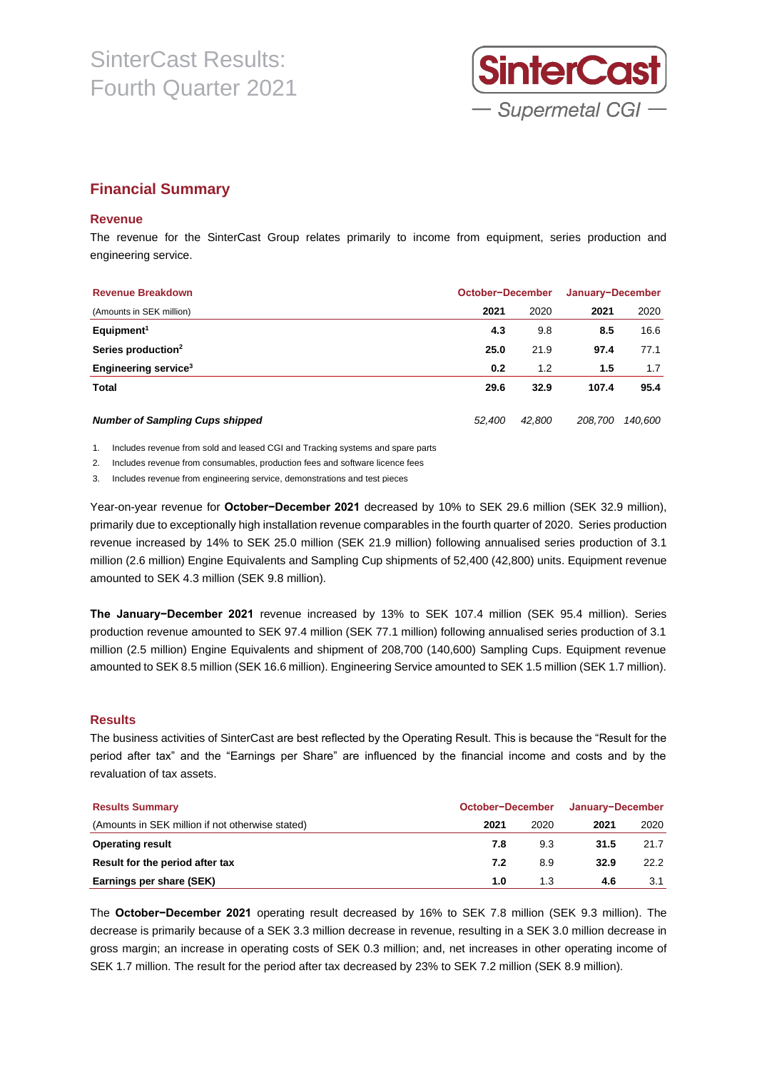

### **Financial Summary**

#### **Revenue**

The revenue for the SinterCast Group relates primarily to income from equipment, series production and engineering service.

| <b>Revenue Breakdown</b>               | October-December |        | January-December |         |  |
|----------------------------------------|------------------|--------|------------------|---------|--|
| (Amounts in SEK million)               | 2021             | 2020   | 2021             | 2020    |  |
| Equipment <sup>1</sup>                 | 4.3              | 9.8    | 8.5              | 16.6    |  |
| Series production <sup>2</sup>         | 25.0             | 21.9   | 97.4             | 77.1    |  |
| Engineering service <sup>3</sup>       | 0.2              | 1.2    | 1.5              | 1.7     |  |
| Total                                  | 29.6             | 32.9   | 107.4            | 95.4    |  |
| <b>Number of Sampling Cups shipped</b> | 52,400           | 42,800 | 208,700          | 140.600 |  |

1. Includes revenue from sold and leased CGI and Tracking systems and spare parts

2. Includes revenue from consumables, production fees and software licence fees

3. Includes revenue from engineering service, demonstrations and test pieces

Year-on-year revenue for **October−December 2021** decreased by 10% to SEK 29.6 million (SEK 32.9 million), primarily due to exceptionally high installation revenue comparables in the fourth quarter of 2020. Series production revenue increased by 14% to SEK 25.0 million (SEK 21.9 million) following annualised series production of 3.1 million (2.6 million) Engine Equivalents and Sampling Cup shipments of 52,400 (42,800) units. Equipment revenue amounted to SEK 4.3 million (SEK 9.8 million).

**The January−December 2021** revenue increased by 13% to SEK 107.4 million (SEK 95.4 million). Series production revenue amounted to SEK 97.4 million (SEK 77.1 million) following annualised series production of 3.1 million (2.5 million) Engine Equivalents and shipment of 208,700 (140,600) Sampling Cups. Equipment revenue amounted to SEK 8.5 million (SEK 16.6 million). Engineering Service amounted to SEK 1.5 million (SEK 1.7 million).

#### **Results**

The business activities of SinterCast are best reflected by the Operating Result. This is because the "Result for the period after tax" and the "Earnings per Share" are influenced by the financial income and costs and by the revaluation of tax assets.

| <b>Results Summary</b>                           | October-December |      |      | January-December |
|--------------------------------------------------|------------------|------|------|------------------|
| (Amounts in SEK million if not otherwise stated) | 2021             | 2020 | 2021 | 2020             |
| <b>Operating result</b>                          | 7.8              | 9.3  | 31.5 | 21.7             |
| Result for the period after tax                  | 7.2              | 8.9  | 32.9 | 22.2             |
| Earnings per share (SEK)                         | 1.0              | 1.3  | 4.6  | 3.1              |

The **October−December 2021** operating result decreased by 16% to SEK 7.8 million (SEK 9.3 million). The decrease is primarily because of a SEK 3.3 million decrease in revenue, resulting in a SEK 3.0 million decrease in gross margin; an increase in operating costs of SEK 0.3 million; and, net increases in other operating income of SEK 1.7 million. The result for the period after tax decreased by 23% to SEK 7.2 million (SEK 8.9 million).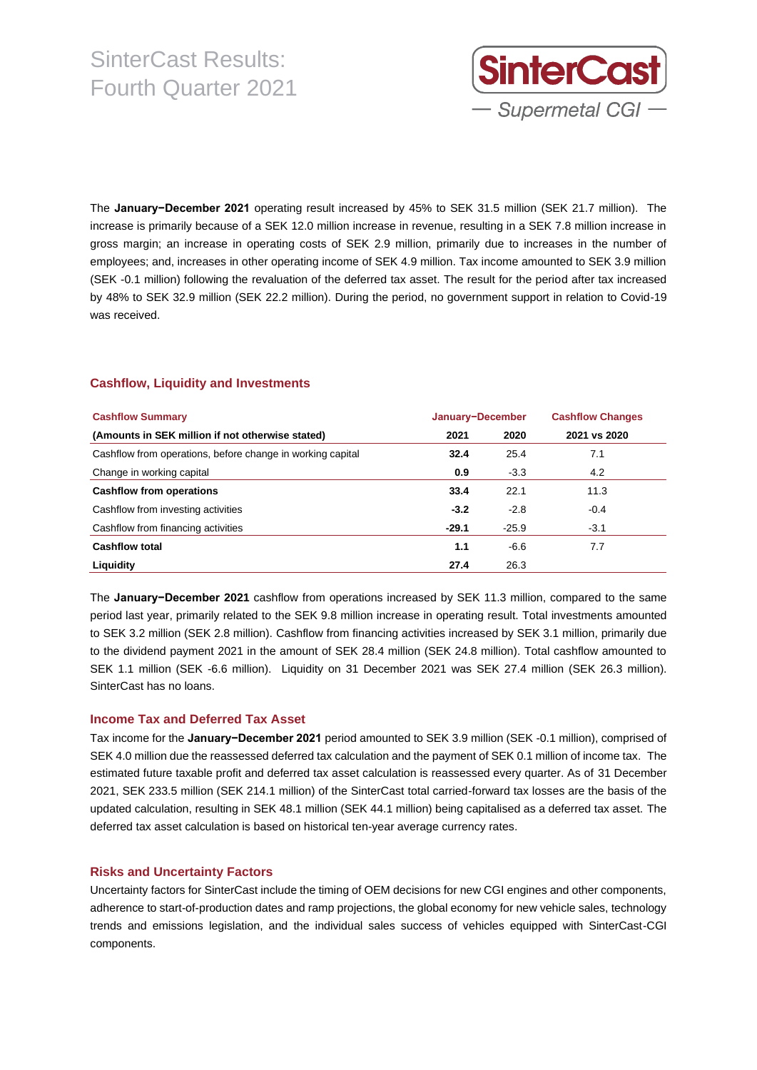

The **January−December 2021** operating result increased by 45% to SEK 31.5 million (SEK 21.7 million). The increase is primarily because of a SEK 12.0 million increase in revenue, resulting in a SEK 7.8 million increase in gross margin; an increase in operating costs of SEK 2.9 million, primarily due to increases in the number of employees; and, increases in other operating income of SEK 4.9 million. Tax income amounted to SEK 3.9 million (SEK -0.1 million) following the revaluation of the deferred tax asset. The result for the period after tax increased by 48% to SEK 32.9 million (SEK 22.2 million). During the period, no government support in relation to Covid-19 was received.

### **Cashflow, Liquidity and Investments**

| <b>Cashflow Summary</b>                                    | January-December |         | <b>Cashflow Changes</b> |
|------------------------------------------------------------|------------------|---------|-------------------------|
| (Amounts in SEK million if not otherwise stated)           | 2021             | 2020    | 2021 vs 2020            |
| Cashflow from operations, before change in working capital | 32.4             | 25.4    | 7.1                     |
| Change in working capital                                  | 0.9              | $-3.3$  | 4.2                     |
| <b>Cashflow from operations</b>                            | 33.4             | 22.1    | 11.3                    |
| Cashflow from investing activities                         | $-3.2$           | $-2.8$  | $-0.4$                  |
| Cashflow from financing activities                         | $-29.1$          | $-25.9$ | $-3.1$                  |
| <b>Cashflow total</b>                                      | 1.1              | $-6.6$  | 7.7                     |
| Liquidity                                                  | 27.4             | 26.3    |                         |

The **January−December 2021** cashflow from operations increased by SEK 11.3 million, compared to the same period last year, primarily related to the SEK 9.8 million increase in operating result. Total investments amounted to SEK 3.2 million (SEK 2.8 million). Cashflow from financing activities increased by SEK 3.1 million, primarily due to the dividend payment 2021 in the amount of SEK 28.4 million (SEK 24.8 million). Total cashflow amounted to SEK 1.1 million (SEK -6.6 million). Liquidity on 31 December 2021 was SEK 27.4 million (SEK 26.3 million). SinterCast has no loans.

#### **Income Tax and Deferred Tax Asset**

Tax income for the **January−December 2021** period amounted to SEK 3.9 million (SEK -0.1 million), comprised of SEK 4.0 million due the reassessed deferred tax calculation and the payment of SEK 0.1 million of income tax. The estimated future taxable profit and deferred tax asset calculation is reassessed every quarter. As of 31 December 2021, SEK 233.5 million (SEK 214.1 million) of the SinterCast total carried-forward tax losses are the basis of the updated calculation, resulting in SEK 48.1 million (SEK 44.1 million) being capitalised as a deferred tax asset. The deferred tax asset calculation is based on historical ten-year average currency rates.

#### **Risks and Uncertainty Factors**

Uncertainty factors for SinterCast include the timing of OEM decisions for new CGI engines and other components, adherence to start-of-production dates and ramp projections, the global economy for new vehicle sales, technology trends and emissions legislation, and the individual sales success of vehicles equipped with SinterCast-CGI components.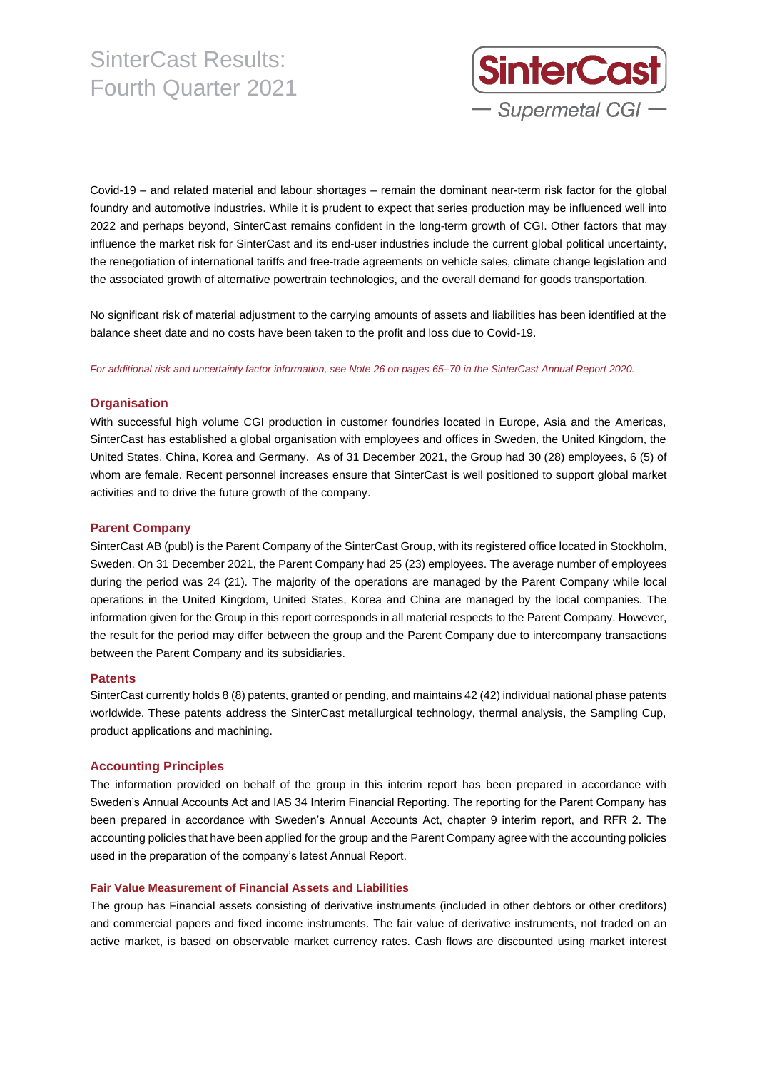

Covid-19 – and related material and labour shortages – remain the dominant near-term risk factor for the global foundry and automotive industries. While it is prudent to expect that series production may be influenced well into 2022 and perhaps beyond, SinterCast remains confident in the long-term growth of CGI. Other factors that may influence the market risk for SinterCast and its end-user industries include the current global political uncertainty, the renegotiation of international tariffs and free-trade agreements on vehicle sales, climate change legislation and the associated growth of alternative powertrain technologies, and the overall demand for goods transportation.

No significant risk of material adjustment to the carrying amounts of assets and liabilities has been identified at the balance sheet date and no costs have been taken to the profit and loss due to Covid-19.

For additional risk and uncertainty factor information, see Note 26 on pages 65-70 in the SinterCast Annual Report 2020.

#### **Organisation**

With successful high volume CGI production in customer foundries located in Europe, Asia and the Americas, SinterCast has established a global organisation with employees and offices in Sweden, the United Kingdom, the United States, China, Korea and Germany. As of 31 December 2021, the Group had 30 (28) employees, 6 (5) of whom are female. Recent personnel increases ensure that SinterCast is well positioned to support global market activities and to drive the future growth of the company.

#### **Parent Company**

SinterCast AB (publ) is the Parent Company of the SinterCast Group, with its registered office located in Stockholm, Sweden. On 31 December 2021, the Parent Company had 25 (23) employees. The average number of employees during the period was 24 (21). The majority of the operations are managed by the Parent Company while local operations in the United Kingdom, United States, Korea and China are managed by the local companies. The information given for the Group in this report corresponds in all material respects to the Parent Company. However, the result for the period may differ between the group and the Parent Company due to intercompany transactions between the Parent Company and its subsidiaries.

#### **Patents**

SinterCast currently holds 8 (8) patents, granted or pending, and maintains 42 (42) individual national phase patents worldwide. These patents address the SinterCast metallurgical technology, thermal analysis, the Sampling Cup, product applications and machining.

#### **Accounting Principles**

The information provided on behalf of the group in this interim report has been prepared in accordance with Sweden's Annual Accounts Act and IAS 34 Interim Financial Reporting. The reporting for the Parent Company has been prepared in accordance with Sweden's Annual Accounts Act, chapter 9 interim report, and RFR 2. The accounting policies that have been applied for the group and the Parent Company agree with the accounting policies used in the preparation of the company's latest Annual Report.

#### **Fair Value Measurement of Financial Assets and Liabilities**

The group has Financial assets consisting of derivative instruments (included in other debtors or other creditors) and commercial papers and fixed income instruments. The fair value of derivative instruments, not traded on an active market, is based on observable market currency rates. Cash flows are discounted using market interest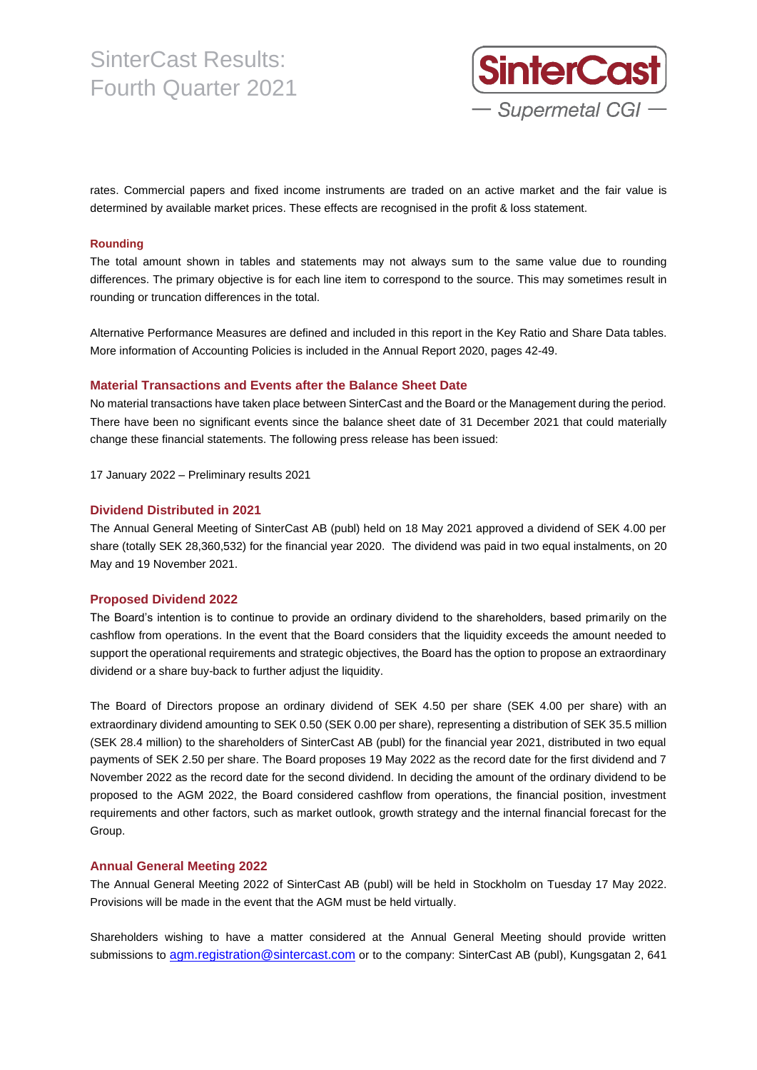

rates. Commercial papers and fixed income instruments are traded on an active market and the fair value is determined by available market prices. These effects are recognised in the profit & loss statement.

#### **Rounding**

The total amount shown in tables and statements may not always sum to the same value due to rounding differences. The primary objective is for each line item to correspond to the source. This may sometimes result in rounding or truncation differences in the total.

Alternative Performance Measures are defined and included in this report in the Key Ratio and Share Data tables. More information of Accounting Policies is included in the Annual Report 2020, pages 42-49.

#### **Material Transactions and Events after the Balance Sheet Date**

No material transactions have taken place between SinterCast and the Board or the Management during the period. There have been no significant events since the balance sheet date of 31 December 2021 that could materially change these financial statements. The following press release has been issued:

17 January 2022 – Preliminary results 2021

#### **Dividend Distributed in 2021**

The Annual General Meeting of SinterCast AB (publ) held on 18 May 2021 approved a dividend of SEK 4.00 per share (totally SEK 28,360,532) for the financial year 2020. The dividend was paid in two equal instalments, on 20 May and 19 November 2021.

#### **Proposed Dividend 2022**

The Board's intention is to continue to provide an ordinary dividend to the shareholders, based primarily on the cashflow from operations. In the event that the Board considers that the liquidity exceeds the amount needed to support the operational requirements and strategic objectives, the Board has the option to propose an extraordinary dividend or a share buy-back to further adjust the liquidity.

The Board of Directors propose an ordinary dividend of SEK 4.50 per share (SEK 4.00 per share) with an extraordinary dividend amounting to SEK 0.50 (SEK 0.00 per share), representing a distribution of SEK 35.5 million (SEK 28.4 million) to the shareholders of SinterCast AB (publ) for the financial year 2021, distributed in two equal payments of SEK 2.50 per share. The Board proposes 19 May 2022 as the record date for the first dividend and 7 November 2022 as the record date for the second dividend. In deciding the amount of the ordinary dividend to be proposed to the AGM 2022, the Board considered cashflow from operations, the financial position, investment requirements and other factors, such as market outlook, growth strategy and the internal financial forecast for the Group.

#### **Annual General Meeting 2022**

The Annual General Meeting 2022 of SinterCast AB (publ) will be held in Stockholm on Tuesday 17 May 2022. Provisions will be made in the event that the AGM must be held virtually.

Shareholders wishing to have a matter considered at the Annual General Meeting should provide written submissions to [agm.registration@sintercast.com](file:///C:/Users/Daphner/AppData/Local/Microsoft/Windows/Temporary%20Internet%20Files/Content.Outlook/BGWPXRZQ/agm.registration@sintercast.com) or to the company: SinterCast AB (publ), Kungsgatan 2, 641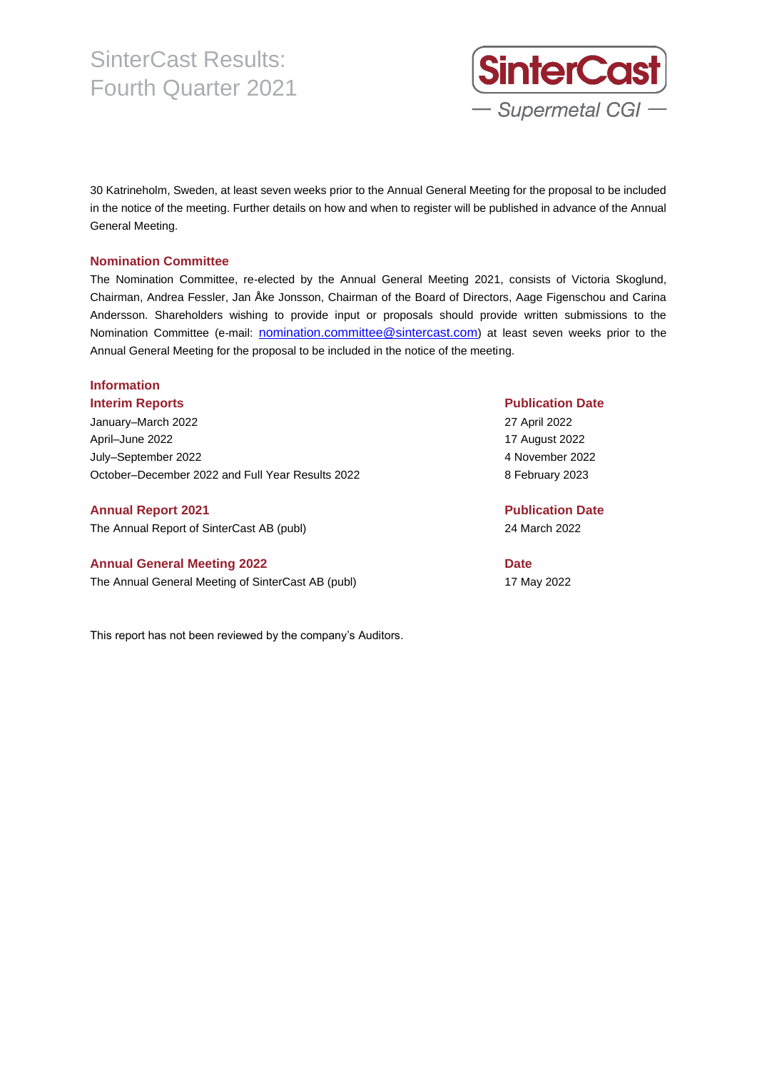

30 Katrineholm, Sweden, at least seven weeks prior to the Annual General Meeting for the proposal to be included in the notice of the meeting. Further details on how and when to register will be published in advance of the Annual General Meeting.

#### **Nomination Committee**

The Nomination Committee, re-elected by the Annual General Meeting 2021, consists of Victoria Skoglund, Chairman, Andrea Fessler, Jan Åke Jonsson, Chairman of the Board of Directors, Aage Figenschou and Carina Andersson. Shareholders wishing to provide input or proposals should provide written submissions to the Nomination Committee (e-mail: nomination.committee@sintercast.com) at least seven weeks prior to the Annual General Meeting for the proposal to be included in the notice of the meeting.

## **Information**

January–March 2022 27 April 2022 April–June 2022 17 August 2022 July–September 2022 4 November 2022 October–December 2022 and Full Year Results 2022 8 February 2023

The Annual Report of SinterCast AB (publ) 24 March 2022

#### **Annual General Meeting 2022 Date**

The Annual General Meeting of SinterCast AB (publ) 17 May 2022

This report has not been reviewed by the company's Auditors.

#### **Interim Reports Publication Date**

**Annual Report 2021 Publication Date**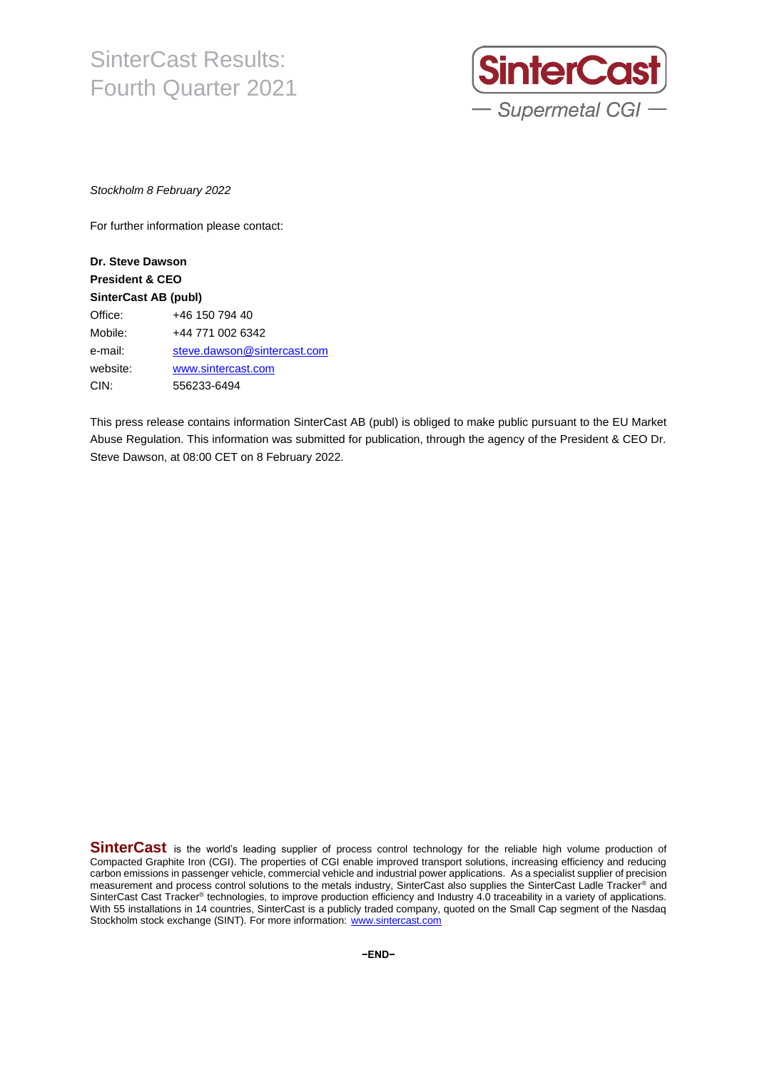

*Stockholm 8 February 2022*

For further information please contact:

### **Dr. Steve Dawson President & CEO SinterCast AB (publ)** Office: +46 150 794 40 Mobile: +44 771 002 6342 e-mail: [steve.dawson@sintercast.com](mailto:steve.dawson@sintercast.com) website: [www.sintercast.com](http://www.sintercast.com/) CIN: 556233-6494

This press release contains information SinterCast AB (publ) is obliged to make public pursuant to the EU Market Abuse Regulation. This information was submitted for publication, through the agency of the President & CEO Dr. Steve Dawson, at 08:00 CET on 8 February 2022.

**SinterCast** is the world's leading supplier of process control technology for the reliable high volume production of Compacted Graphite Iron (CGI). The properties of CGI enable improved transport solutions, increasing efficiency and reducing carbon emissions in passenger vehicle, commercial vehicle and industrial power applications. As a specialist supplier of precision measurement and process control solutions to the metals industry, SinterCast also supplies the SinterCast Ladle Tracker® and SinterCast Cast Tracker® technologies, to improve production efficiency and Industry 4.0 traceability in a variety of applications. With 55 installations in 14 countries, SinterCast is a publicly traded company, quoted on the Small Cap segment of the Nasdaq Stockholm stock exchange (SINT). For more information: [www.sintercast.com](http://www.sintercast.com/)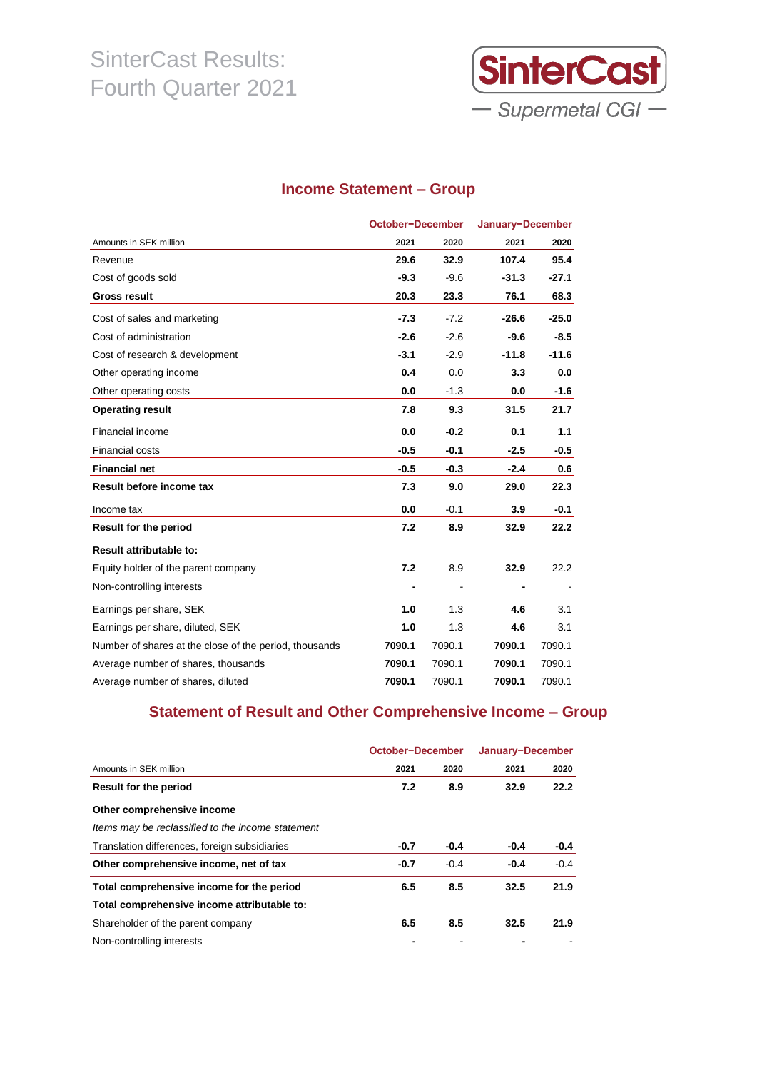

### **Income Statement – Group**

|                                                        | October-December |        | January-December |         |
|--------------------------------------------------------|------------------|--------|------------------|---------|
| Amounts in SEK million                                 | 2021             | 2020   | 2021             | 2020    |
| Revenue                                                | 29.6             | 32.9   | 107.4            | 95.4    |
| Cost of goods sold                                     | $-9.3$           | $-9.6$ | $-31.3$          | $-27.1$ |
| <b>Gross result</b>                                    | 20.3             | 23.3   | 76.1             | 68.3    |
| Cost of sales and marketing                            | $-7.3$           | $-7.2$ | $-26.6$          | $-25.0$ |
| Cost of administration                                 | $-2.6$           | $-2.6$ | $-9.6$           | $-8.5$  |
| Cost of research & development                         | $-3.1$           | $-2.9$ | $-11.8$          | $-11.6$ |
| Other operating income                                 | 0.4              | 0.0    | 3.3              | 0.0     |
| Other operating costs                                  | 0.0              | $-1.3$ | 0.0              | $-1.6$  |
| <b>Operating result</b>                                | 7.8              | 9.3    | 31.5             | 21.7    |
| Financial income                                       | 0.0              | $-0.2$ | 0.1              | 1.1     |
| Financial costs                                        | $-0.5$           | $-0.1$ | $-2.5$           | $-0.5$  |
| <b>Financial net</b>                                   | $-0.5$           | $-0.3$ | $-2.4$           | 0.6     |
| Result before income tax                               | 7.3              | 9.0    | 29.0             | 22.3    |
| Income tax                                             | 0.0              | $-0.1$ | 3.9              | $-0.1$  |
| <b>Result for the period</b>                           | 7.2              | 8.9    | 32.9             | 22.2    |
| <b>Result attributable to:</b>                         |                  |        |                  |         |
| Equity holder of the parent company                    | 7.2              | 8.9    | 32.9             | 22.2    |
| Non-controlling interests                              |                  |        |                  |         |
| Earnings per share, SEK                                | 1.0              | 1.3    | 4.6              | 3.1     |
| Earnings per share, diluted, SEK                       | 1.0              | 1.3    | 4.6              | 3.1     |
| Number of shares at the close of the period, thousands | 7090.1           | 7090.1 | 7090.1           | 7090.1  |
| Average number of shares, thousands                    | 7090.1           | 7090.1 | 7090.1           | 7090.1  |
| Average number of shares, diluted                      | 7090.1           | 7090.1 | 7090.1           | 7090.1  |

### **Statement of Result and Other Comprehensive Income – Group**

|                                                   | October-December |        | January-December |        |
|---------------------------------------------------|------------------|--------|------------------|--------|
| Amounts in SEK million                            | 2021             | 2020   | 2021             | 2020   |
| Result for the period                             | 7.2              | 8.9    | 32.9             | 22.2   |
| Other comprehensive income                        |                  |        |                  |        |
| Items may be reclassified to the income statement |                  |        |                  |        |
| Translation differences, foreign subsidiaries     | $-0.7$           | $-0.4$ | $-0.4$           | $-0.4$ |
| Other comprehensive income, net of tax            | $-0.7$           | $-0.4$ | $-0.4$           | $-0.4$ |
| Total comprehensive income for the period         | 6.5              | 8.5    | 32.5             | 21.9   |
| Total comprehensive income attributable to:       |                  |        |                  |        |
| Shareholder of the parent company                 | 6.5              | 8.5    | 32.5             | 21.9   |
| Non-controlling interests                         |                  |        |                  |        |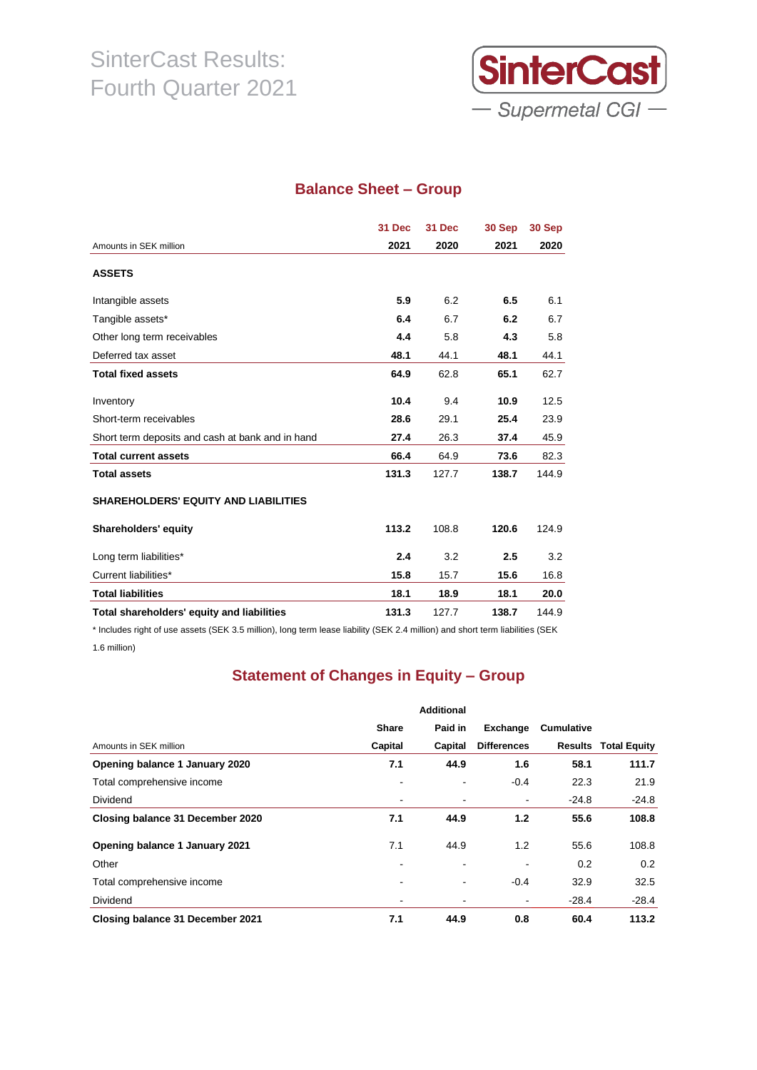

### **Balance Sheet – Group**

|                                                  | 31 Dec | 31 Dec | 30 Sep | 30 Sep |
|--------------------------------------------------|--------|--------|--------|--------|
| Amounts in SEK million                           | 2021   | 2020   | 2021   | 2020   |
| <b>ASSETS</b>                                    |        |        |        |        |
| Intangible assets                                | 5.9    | 6.2    | 6.5    | 6.1    |
| Tangible assets*                                 | 6.4    | 6.7    | 6.2    | 6.7    |
| Other long term receivables                      | 4.4    | 5.8    | 4.3    | 5.8    |
| Deferred tax asset                               | 48.1   | 44.1   | 48.1   | 44.1   |
| <b>Total fixed assets</b>                        | 64.9   | 62.8   | 65.1   | 62.7   |
| Inventory                                        | 10.4   | 9.4    | 10.9   | 12.5   |
| Short-term receivables                           | 28.6   | 29.1   | 25.4   | 23.9   |
| Short term deposits and cash at bank and in hand | 27.4   | 26.3   | 37.4   | 45.9   |
| <b>Total current assets</b>                      | 66.4   | 64.9   | 73.6   | 82.3   |
| <b>Total assets</b>                              | 131.3  | 127.7  | 138.7  | 144.9  |
| <b>SHAREHOLDERS' EQUITY AND LIABILITIES</b>      |        |        |        |        |
| Shareholders' equity                             | 113.2  | 108.8  | 120.6  | 124.9  |
| Long term liabilities*                           | 2.4    | 3.2    | 2.5    | 3.2    |
| Current liabilities*                             | 15.8   | 15.7   | 15.6   | 16.8   |
| <b>Total liabilities</b>                         | 18.1   | 18.9   | 18.1   | 20.0   |
| Total shareholders' equity and liabilities       | 131.3  | 127.7  | 138.7  | 144.9  |

\* Includes right of use assets (SEK 3.5 million), long term lease liability (SEK 2.4 million) and short term liabilities (SEK 1.6 million)

## **Statement of Changes in Equity – Group**

|                                  |              | <b>Additional</b> |                          |                   |                             |
|----------------------------------|--------------|-------------------|--------------------------|-------------------|-----------------------------|
|                                  | <b>Share</b> | Paid in           | Exchange                 | <b>Cumulative</b> |                             |
| Amounts in SEK million           | Capital      | Capital           | <b>Differences</b>       |                   | <b>Results Total Equity</b> |
| Opening balance 1 January 2020   | 7.1          | 44.9              | 1.6                      | 58.1              | 111.7                       |
| Total comprehensive income       |              | $\blacksquare$    | $-0.4$                   | 22.3              | 21.9                        |
| Dividend                         |              |                   |                          | $-24.8$           | $-24.8$                     |
| Closing balance 31 December 2020 | 7.1          | 44.9              | 1.2                      | 55.6              | 108.8                       |
| Opening balance 1 January 2021   | 7.1          | 44.9              | 1.2                      | 55.6              | 108.8                       |
| Other                            |              | $\blacksquare$    | $\overline{\phantom{a}}$ | 0.2               | 0.2                         |
| Total comprehensive income       |              |                   | $-0.4$                   | 32.9              | 32.5                        |
| Dividend                         |              |                   | $\blacksquare$           | $-28.4$           | $-28.4$                     |
| Closing balance 31 December 2021 | 7.1          | 44.9              | 0.8                      | 60.4              | 113.2                       |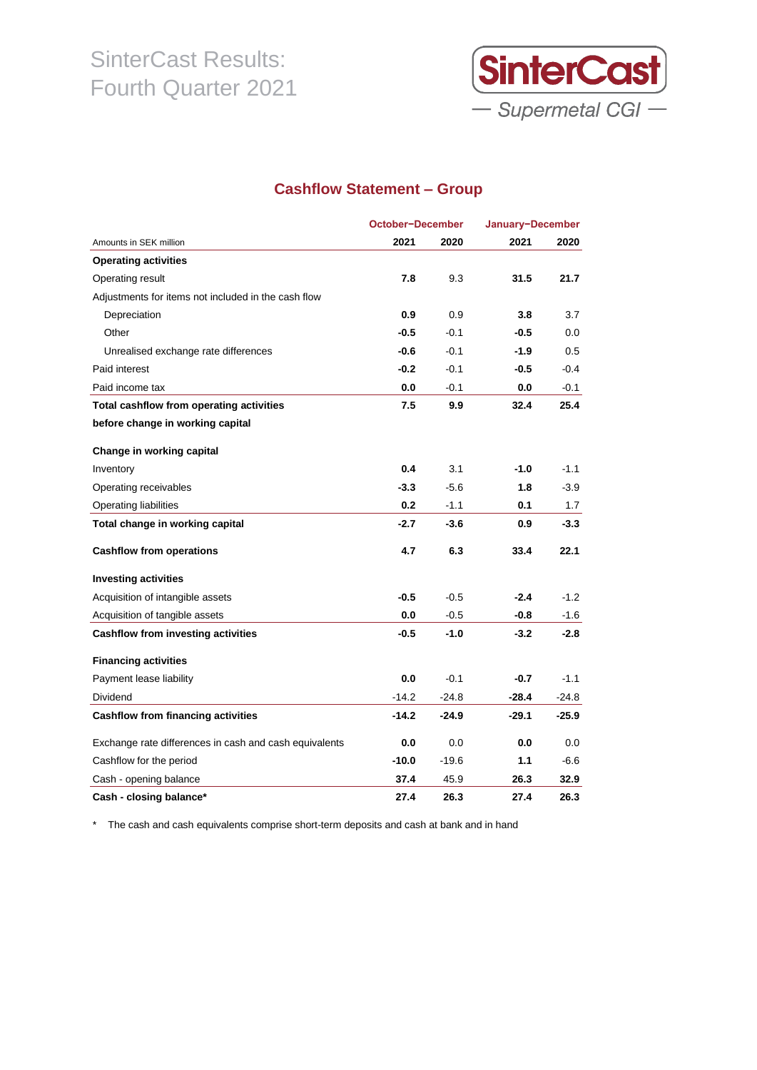

### **Cashflow Statement – Group**

|                                                        |         | October-December |         | January-December |
|--------------------------------------------------------|---------|------------------|---------|------------------|
| Amounts in SEK million                                 | 2021    | 2020             | 2021    | 2020             |
| <b>Operating activities</b>                            |         |                  |         |                  |
| Operating result                                       | 7.8     | 9.3              | 31.5    | 21.7             |
| Adjustments for items not included in the cash flow    |         |                  |         |                  |
| Depreciation                                           | 0.9     | 0.9              | 3.8     | 3.7              |
| Other                                                  | $-0.5$  | $-0.1$           | $-0.5$  | 0.0              |
| Unrealised exchange rate differences                   | $-0.6$  | $-0.1$           | $-1.9$  | 0.5              |
| Paid interest                                          | $-0.2$  | $-0.1$           | $-0.5$  | $-0.4$           |
| Paid income tax                                        | 0.0     | $-0.1$           | 0.0     | $-0.1$           |
| Total cashflow from operating activities               | 7.5     | 9.9              | 32.4    | 25.4             |
| before change in working capital                       |         |                  |         |                  |
| Change in working capital                              |         |                  |         |                  |
| Inventory                                              | 0.4     | 3.1              | $-1.0$  | $-1.1$           |
| Operating receivables                                  | $-3.3$  | $-5.6$           | 1.8     | $-3.9$           |
| Operating liabilities                                  | 0.2     | $-1.1$           | 0.1     | 1.7              |
| Total change in working capital                        | $-2.7$  | $-3.6$           | 0.9     | $-3.3$           |
| <b>Cashflow from operations</b>                        | 4.7     | 6.3              | 33.4    | 22.1             |
| <b>Investing activities</b>                            |         |                  |         |                  |
| Acquisition of intangible assets                       | $-0.5$  | $-0.5$           | $-2.4$  | $-1.2$           |
| Acquisition of tangible assets                         | 0.0     | $-0.5$           | $-0.8$  | $-1.6$           |
| <b>Cashflow from investing activities</b>              | $-0.5$  | $-1.0$           | $-3.2$  | $-2.8$           |
| <b>Financing activities</b>                            |         |                  |         |                  |
| Payment lease liability                                | 0.0     | $-0.1$           | $-0.7$  | $-1.1$           |
| Dividend                                               | $-14.2$ | $-24.8$          | -28.4   | $-24.8$          |
| <b>Cashflow from financing activities</b>              | $-14.2$ | $-24.9$          | $-29.1$ | $-25.9$          |
| Exchange rate differences in cash and cash equivalents | 0.0     | 0.0              | 0.0     | 0.0              |
| Cashflow for the period                                | $-10.0$ | $-19.6$          | 1.1     | -6.6             |
| Cash - opening balance                                 | 37.4    | 45.9             | 26.3    | 32.9             |
| Cash - closing balance*                                | 27.4    | 26.3             | 27.4    | 26.3             |

\* The cash and cash equivalents comprise short-term deposits and cash at bank and in hand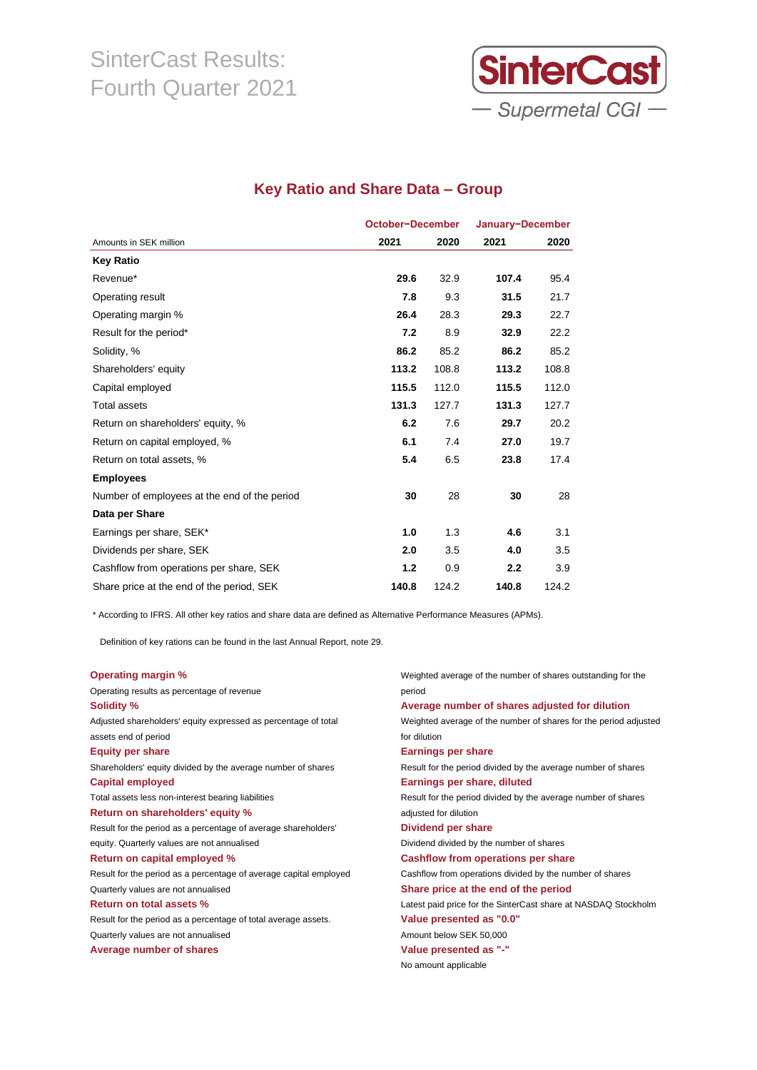

### **Key Ratio and Share Data – Group**

|                                              | October-December |       | January-December |       |
|----------------------------------------------|------------------|-------|------------------|-------|
| Amounts in SEK million                       | 2021             | 2020  | 2021             | 2020  |
| <b>Key Ratio</b>                             |                  |       |                  |       |
| Revenue*                                     | 29.6             | 32.9  | 107.4            | 95.4  |
| Operating result                             | 7.8              | 9.3   | 31.5             | 21.7  |
| Operating margin %                           | 26.4             | 28.3  | 29.3             | 22.7  |
| Result for the period*                       | 7.2              | 8.9   | 32.9             | 22.2  |
| Solidity, %                                  | 86.2             | 85.2  | 86.2             | 85.2  |
| Shareholders' equity                         | 113.2            | 108.8 | 113.2            | 108.8 |
| Capital employed                             | 115.5            | 112.0 | 115.5            | 112.0 |
| Total assets                                 | 131.3            | 127.7 | 131.3            | 127.7 |
| Return on shareholders' equity, %            | 6.2              | 7.6   | 29.7             | 20.2  |
| Return on capital employed, %                | 6.1              | 7.4   | 27.0             | 19.7  |
| Return on total assets, %                    | 5.4              | 6.5   | 23.8             | 17.4  |
| <b>Employees</b>                             |                  |       |                  |       |
| Number of employees at the end of the period | 30               | 28    | 30               | 28    |
| Data per Share                               |                  |       |                  |       |
| Earnings per share, SEK*                     | 1.0              | 1.3   | 4.6              | 3.1   |
| Dividends per share, SEK                     | 2.0              | 3.5   | 4.0              | 3.5   |
| Cashflow from operations per share, SEK      | 1.2              | 0.9   | 2.2              | 3.9   |
| Share price at the end of the period, SEK    | 140.8            | 124.2 | 140.8            | 124.2 |

\* According to IFRS. All other key ratios and share data are defined as Alternative Performance Measures (APMs).

Definition of key rations can be found in the last Annual Report, note 29.

| Weighted average of the number of shares outstanding for the     |
|------------------------------------------------------------------|
| period                                                           |
| Average number of shares adjusted for dilution                   |
| Weighted average of the number of shares for the period adjusted |
| for dilution                                                     |
| <b>Earnings per share</b>                                        |
| Result for the period divided by the average number of shares    |
| Earnings per share, diluted                                      |
| Result for the period divided by the average number of shares    |
| adjusted for dilution                                            |
| Dividend per share                                               |
| Dividend divided by the number of shares                         |
| Cashflow from operations per share                               |
| Cashflow from operations divided by the number of shares         |
| Share price at the end of the period                             |
| Latest paid price for the SinterCast share at NASDAQ Stockholm   |
| Value presented as "0.0"                                         |
| Amount below SEK 50,000                                          |
| Value presented as "-"                                           |
| No amount applicable                                             |
|                                                                  |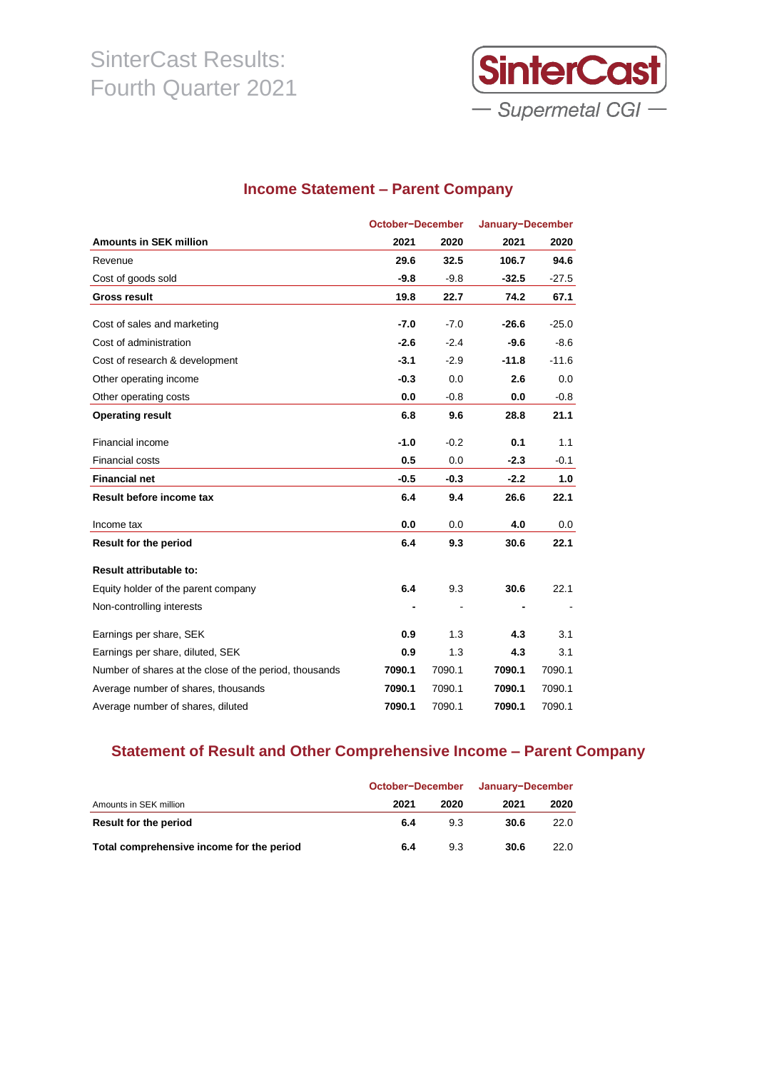

## **Income Statement – Parent Company**

|                                                        | October-December |        | January-December |         |  |
|--------------------------------------------------------|------------------|--------|------------------|---------|--|
| <b>Amounts in SEK million</b>                          | 2021             | 2020   | 2021             | 2020    |  |
| Revenue                                                | 29.6             | 32.5   | 106.7            | 94.6    |  |
| Cost of goods sold                                     | $-9.8$           | $-9.8$ | $-32.5$          | $-27.5$ |  |
| <b>Gross result</b>                                    | 19.8             | 22.7   | 74.2             | 67.1    |  |
|                                                        |                  |        |                  |         |  |
| Cost of sales and marketing                            | $-7.0$           | $-7.0$ | $-26.6$          | $-25.0$ |  |
| Cost of administration                                 | $-2.6$           | $-2.4$ | $-9.6$           | $-8.6$  |  |
| Cost of research & development                         | $-3.1$           | $-2.9$ | $-11.8$          | $-11.6$ |  |
| Other operating income                                 | $-0.3$           | 0.0    | 2.6              | 0.0     |  |
| Other operating costs                                  | 0.0              | $-0.8$ | 0.0              | $-0.8$  |  |
| <b>Operating result</b>                                | 6.8              | 9.6    | 28.8             | 21.1    |  |
| Financial income                                       | $-1.0$           | $-0.2$ | 0.1              | 1.1     |  |
| <b>Financial costs</b>                                 | 0.5              | 0.0    | $-2.3$           | $-0.1$  |  |
| <b>Financial net</b>                                   | $-0.5$           | $-0.3$ | $-2.2$           | 1.0     |  |
| Result before income tax                               | 6.4              | 9.4    | 26.6             | 22.1    |  |
| Income tax                                             | 0.0              | 0.0    | 4.0              | 0.0     |  |
| <b>Result for the period</b>                           | 6.4              | 9.3    | 30.6             | 22.1    |  |
| <b>Result attributable to:</b>                         |                  |        |                  |         |  |
| Equity holder of the parent company                    | 6.4              | 9.3    | 30.6             | 22.1    |  |
| Non-controlling interests                              |                  |        |                  |         |  |
| Earnings per share, SEK                                | 0.9              | 1.3    | 4.3              | 3.1     |  |
| Earnings per share, diluted, SEK                       | 0.9              | 1.3    | 4.3              | 3.1     |  |
| Number of shares at the close of the period, thousands | 7090.1           | 7090.1 | 7090.1           | 7090.1  |  |
| Average number of shares, thousands                    | 7090.1           | 7090.1 | 7090.1           | 7090.1  |  |
| Average number of shares, diluted                      | 7090.1           | 7090.1 | 7090.1           | 7090.1  |  |

## **Statement of Result and Other Comprehensive Income – Parent Company**

|                                           | October-December | January-December |      |      |
|-------------------------------------------|------------------|------------------|------|------|
| Amounts in SEK million                    | 2021             | 2020             | 2021 | 2020 |
| Result for the period                     | 6.4              | 9.3              | 30.6 | 22.0 |
| Total comprehensive income for the period | 6.4              | 9.3              | 30.6 | 22.0 |